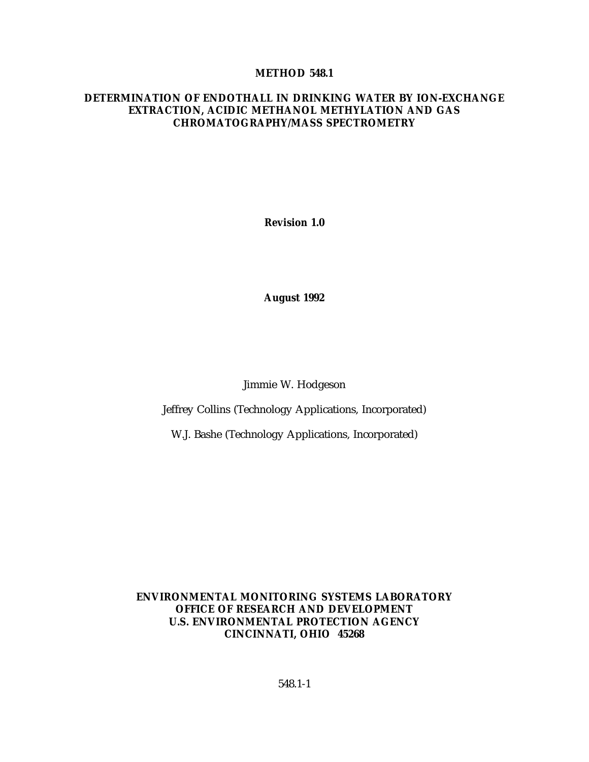#### **METHOD 548.1**

#### **DETERMINATION OF ENDOTHALL IN DRINKING WATER BY ION-EXCHANGE EXTRACTION, ACIDIC METHANOL METHYLATION AND GAS CHROMATOGRAPHY/MASS SPECTROMETRY**

**Revision 1.0**

**August 1992**

Jimmie W. Hodgeson

Jeffrey Collins (Technology Applications, Incorporated)

W.J. Bashe (Technology Applications, Incorporated)

**ENVIRONMENTAL MONITORING SYSTEMS LABORATORY OFFICE OF RESEARCH AND DEVELOPMENT U.S. ENVIRONMENTAL PROTECTION AGENCY CINCINNATI, OHIO 45268**

548.1-1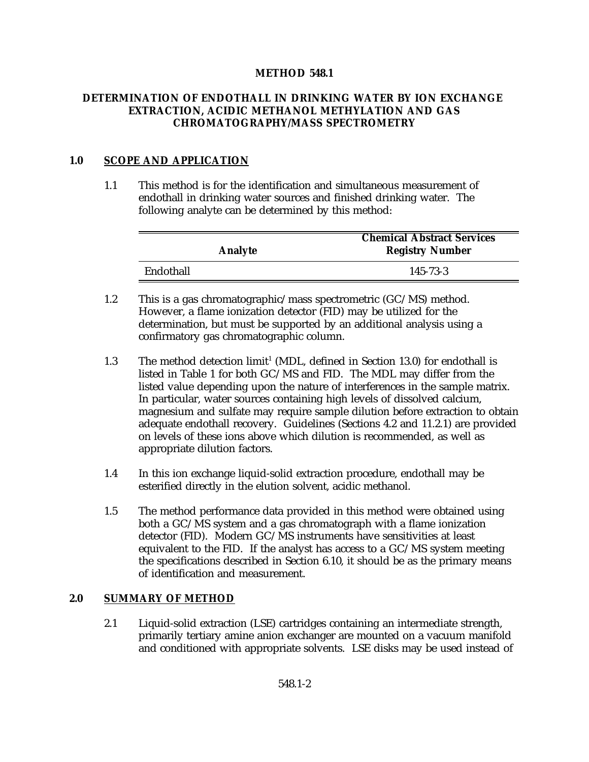### **METHOD 548.1**

### **DETERMINATION OF ENDOTHALL IN DRINKING WATER BY ION EXCHANGE EXTRACTION, ACIDIC METHANOL METHYLATION AND GAS CHROMATOGRAPHY/MASS SPECTROMETRY**

### **1.0 SCOPE AND APPLICATION**

1.1 This method is for the identification and simultaneous measurement of endothall in drinking water sources and finished drinking water. The following analyte can be determined by this method:

| Analyte   | <b>Chemical Abstract Services</b><br><b>Registry Number</b> |
|-----------|-------------------------------------------------------------|
| Endothall | 145-73-3                                                    |

- 1.2 This is a gas chromatographic/mass spectrometric (GC/MS) method. However, a flame ionization detector (FID) may be utilized for the determination, but must be supported by an additional analysis using a confirmatory gas chromatographic column.
- 1.3 The method detection  $\text{limit}^1$  (MDL, defined in Section 13.0) for endothall is listed in Table 1 for both GC/MS and FID. The MDL may differ from the listed value depending upon the nature of interferences in the sample matrix. In particular, water sources containing high levels of dissolved calcium, magnesium and sulfate may require sample dilution before extraction to obtain adequate endothall recovery. Guidelines (Sections 4.2 and 11.2.1) are provided on levels of these ions above which dilution is recommended, as well as appropriate dilution factors.
- 1.4 In this ion exchange liquid-solid extraction procedure, endothall may be esterified directly in the elution solvent, acidic methanol.
- 1.5 The method performance data provided in this method were obtained using both a GC/MS system and a gas chromatograph with a flame ionization detector (FID). Modern GC/MS instruments have sensitivities at least equivalent to the FID. If the analyst has access to a GC/MS system meeting the specifications described in Section 6.10, it should be as the primary means of identification and measurement.

### **2.0 SUMMARY OF METHOD**

2.1 Liquid-solid extraction (LSE) cartridges containing an intermediate strength, primarily tertiary amine anion exchanger are mounted on a vacuum manifold and conditioned with appropriate solvents. LSE disks may be used instead of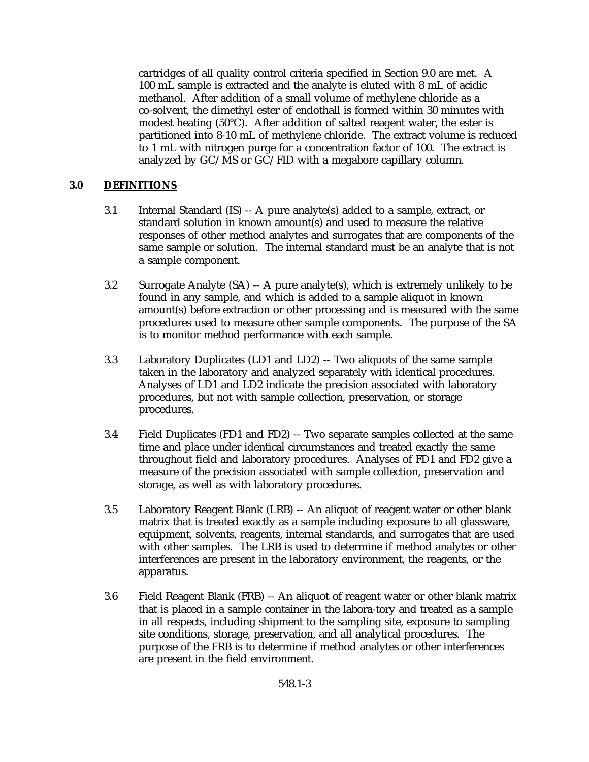cartridges of all quality control criteria specified in Section 9.0 are met. A 100 mL sample is extracted and the analyte is eluted with 8 mL of acidic methanol. After addition of a small volume of methylene chloride as a co-solvent, the dimethyl ester of endothall is formed within 30 minutes with modest heating (50°C). After addition of salted reagent water, the ester is partitioned into 8-10 mL of methylene chloride. The extract volume is reduced to 1 mL with nitrogen purge for a concentration factor of 100. The extract is analyzed by GC/MS or GC/FID with a megabore capillary column.

### **3.0 DEFINITIONS**

- 3.1 Internal Standard (IS) -- A pure analyte(s) added to a sample, extract, or standard solution in known amount(s) and used to measure the relative responses of other method analytes and surrogates that are components of the same sample or solution. The internal standard must be an analyte that is not a sample component.
- 3.2 Surrogate Analyte (SA) -- A pure analyte(s), which is extremely unlikely to be found in any sample, and which is added to a sample aliquot in known amount(s) before extraction or other processing and is measured with the same procedures used to measure other sample components. The purpose of the SA is to monitor method performance with each sample.
- 3.3 Laboratory Duplicates (LD1 and LD2) -- Two aliquots of the same sample taken in the laboratory and analyzed separately with identical procedures. Analyses of LD1 and LD2 indicate the precision associated with laboratory procedures, but not with sample collection, preservation, or storage procedures.
- 3.4 Field Duplicates (FD1 and FD2) -- Two separate samples collected at the same time and place under identical circumstances and treated exactly the same throughout field and laboratory procedures. Analyses of FD1 and FD2 give a measure of the precision associated with sample collection, preservation and storage, as well as with laboratory procedures.
- 3.5 Laboratory Reagent Blank (LRB) -- An aliquot of reagent water or other blank matrix that is treated exactly as a sample including exposure to all glassware, equipment, solvents, reagents, internal standards, and surrogates that are used with other samples. The LRB is used to determine if method analytes or other interferences are present in the laboratory environment, the reagents, or the apparatus.
- 3.6 Field Reagent Blank (FRB) -- An aliquot of reagent water or other blank matrix that is placed in a sample container in the labora-tory and treated as a sample in all respects, including shipment to the sampling site, exposure to sampling site conditions, storage, preservation, and all analytical procedures. The purpose of the FRB is to determine if method analytes or other interferences are present in the field environment.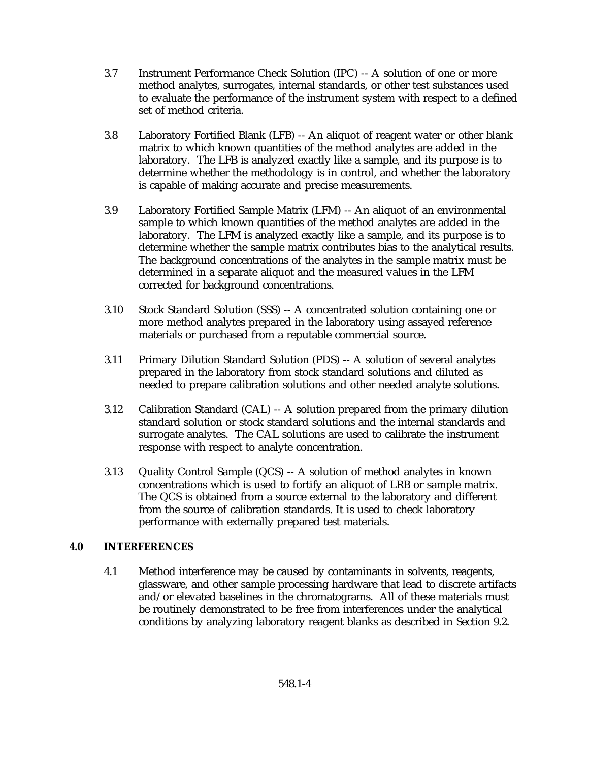- 3.7 Instrument Performance Check Solution (IPC) -- A solution of one or more method analytes, surrogates, internal standards, or other test substances used to evaluate the performance of the instrument system with respect to a defined set of method criteria.
- 3.8 Laboratory Fortified Blank (LFB) -- An aliquot of reagent water or other blank matrix to which known quantities of the method analytes are added in the laboratory. The LFB is analyzed exactly like a sample, and its purpose is to determine whether the methodology is in control, and whether the laboratory is capable of making accurate and precise measurements.
- 3.9 Laboratory Fortified Sample Matrix (LFM) -- An aliquot of an environmental sample to which known quantities of the method analytes are added in the laboratory. The LFM is analyzed exactly like a sample, and its purpose is to determine whether the sample matrix contributes bias to the analytical results. The background concentrations of the analytes in the sample matrix must be determined in a separate aliquot and the measured values in the LFM corrected for background concentrations.
- 3.10 Stock Standard Solution (SSS) -- A concentrated solution containing one or more method analytes prepared in the laboratory using assayed reference materials or purchased from a reputable commercial source.
- 3.11 Primary Dilution Standard Solution (PDS) -- A solution of several analytes prepared in the laboratory from stock standard solutions and diluted as needed to prepare calibration solutions and other needed analyte solutions.
- 3.12 Calibration Standard (CAL) -- A solution prepared from the primary dilution standard solution or stock standard solutions and the internal standards and surrogate analytes. The CAL solutions are used to calibrate the instrument response with respect to analyte concentration.
- 3.13 Quality Control Sample (QCS) -- A solution of method analytes in known concentrations which is used to fortify an aliquot of LRB or sample matrix. The QCS is obtained from a source external to the laboratory and different from the source of calibration standards. It is used to check laboratory performance with externally prepared test materials.

## **4.0 INTERFERENCES**

4.1 Method interference may be caused by contaminants in solvents, reagents, glassware, and other sample processing hardware that lead to discrete artifacts and/or elevated baselines in the chromatograms. All of these materials must be routinely demonstrated to be free from interferences under the analytical conditions by analyzing laboratory reagent blanks as described in Section 9.2.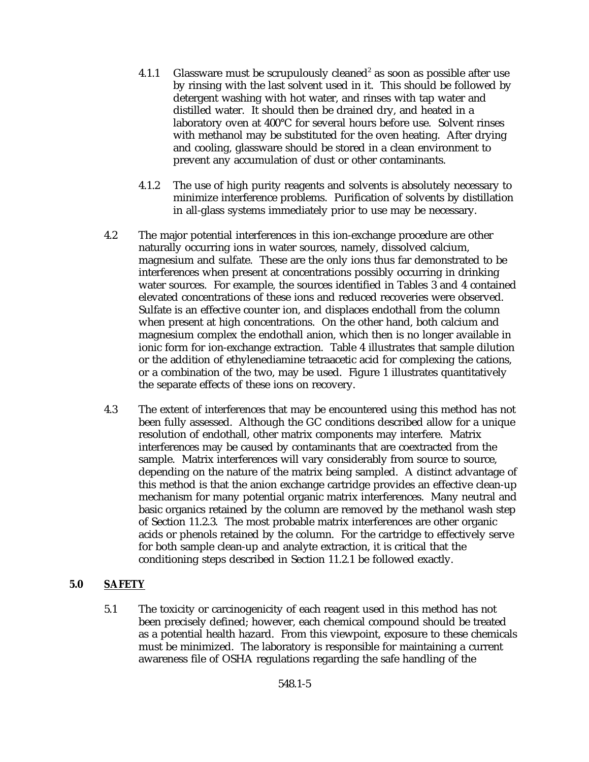- 4.1.1 Glassware must be scrupulously cleaned<sup>2</sup> as soon as possible after use by rinsing with the last solvent used in it. This should be followed by detergent washing with hot water, and rinses with tap water and distilled water. It should then be drained dry, and heated in a laboratory oven at 400°C for several hours before use. Solvent rinses with methanol may be substituted for the oven heating. After drying and cooling, glassware should be stored in a clean environment to prevent any accumulation of dust or other contaminants.
- 4.1.2 The use of high purity reagents and solvents is absolutely necessary to minimize interference problems. Purification of solvents by distillation in all-glass systems immediately prior to use may be necessary.
- 4.2 The major potential interferences in this ion-exchange procedure are other naturally occurring ions in water sources, namely, dissolved calcium, magnesium and sulfate. These are the only ions thus far demonstrated to be interferences when present at concentrations possibly occurring in drinking water sources. For example, the sources identified in Tables 3 and 4 contained elevated concentrations of these ions and reduced recoveries were observed. Sulfate is an effective counter ion, and displaces endothall from the column when present at high concentrations. On the other hand, both calcium and magnesium complex the endothall anion, which then is no longer available in ionic form for ion-exchange extraction. Table 4 illustrates that sample dilution or the addition of ethylenediamine tetraacetic acid for complexing the cations, or a combination of the two, may be used. Figure 1 illustrates quantitatively the separate effects of these ions on recovery.
- 4.3 The extent of interferences that may be encountered using this method has not been fully assessed. Although the GC conditions described allow for a unique resolution of endothall, other matrix components may interfere. Matrix interferences may be caused by contaminants that are coextracted from the sample. Matrix interferences will vary considerably from source to source, depending on the nature of the matrix being sampled. A distinct advantage of this method is that the anion exchange cartridge provides an effective clean-up mechanism for many potential organic matrix interferences. Many neutral and basic organics retained by the column are removed by the methanol wash step of Section 11.2.3. The most probable matrix interferences are other organic acids or phenols retained by the column. For the cartridge to effectively serve for both sample clean-up and analyte extraction, it is critical that the conditioning steps described in Section 11.2.1 be followed exactly.

## **5.0 SAFETY**

5.1 The toxicity or carcinogenicity of each reagent used in this method has not been precisely defined; however, each chemical compound should be treated as a potential health hazard. From this viewpoint, exposure to these chemicals must be minimized. The laboratory is responsible for maintaining a current awareness file of OSHA regulations regarding the safe handling of the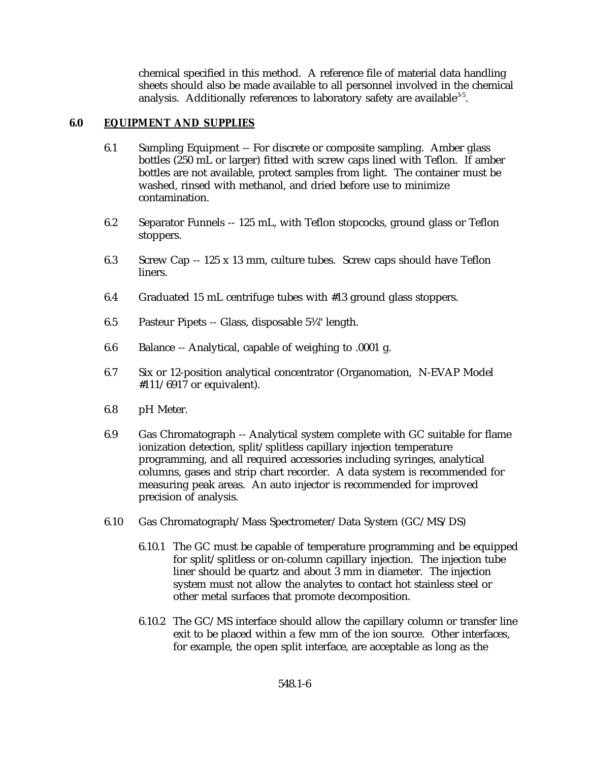chemical specified in this method. A reference file of material data handling sheets should also be made available to all personnel involved in the chemical analysis. Additionally references to laboratory safety are available  $3-5$ .

### **6.0 EQUIPMENT AND SUPPLIES**

- 6.1 Sampling Equipment -- For discrete or composite sampling. Amber glass bottles (250 mL or larger) fitted with screw caps lined with Teflon. If amber bottles are not available, protect samples from light. The container must be washed, rinsed with methanol, and dried before use to minimize contamination.
- 6.2 Separator Funnels -- 125 mL, with Teflon stopcocks, ground glass or Teflon stoppers.
- 6.3 Screw Cap -- 125 x 13 mm, culture tubes. Screw caps should have Teflon liners.
- 6.4 Graduated 15 mL centrifuge tubes with #13 ground glass stoppers.
- 6.5 Pasteur Pipets -- Glass, disposable 5¾" length.
- 6.6 Balance -- Analytical, capable of weighing to .0001 g.
- 6.7 Six or 12-position analytical concentrator (Organomation, N-EVAP Model #111/6917 or equivalent).
- 6.8 pH Meter.
- 6.9 Gas Chromatograph -- Analytical system complete with GC suitable for flame ionization detection, split/splitless capillary injection temperature programming, and all required accessories including syringes, analytical columns, gases and strip chart recorder. A data system is recommended for measuring peak areas. An auto injector is recommended for improved precision of analysis.
- 6.10 Gas Chromatograph/Mass Spectrometer/Data System (GC/MS/DS)
	- 6.10.1 The GC must be capable of temperature programming and be equipped for split/splitless or on-column capillary injection. The injection tube liner should be quartz and about 3 mm in diameter. The injection system must not allow the analytes to contact hot stainless steel or other metal surfaces that promote decomposition.
	- 6.10.2 The GC/MS interface should allow the capillary column or transfer line exit to be placed within a few mm of the ion source. Other interfaces, for example, the open split interface, are acceptable as long as the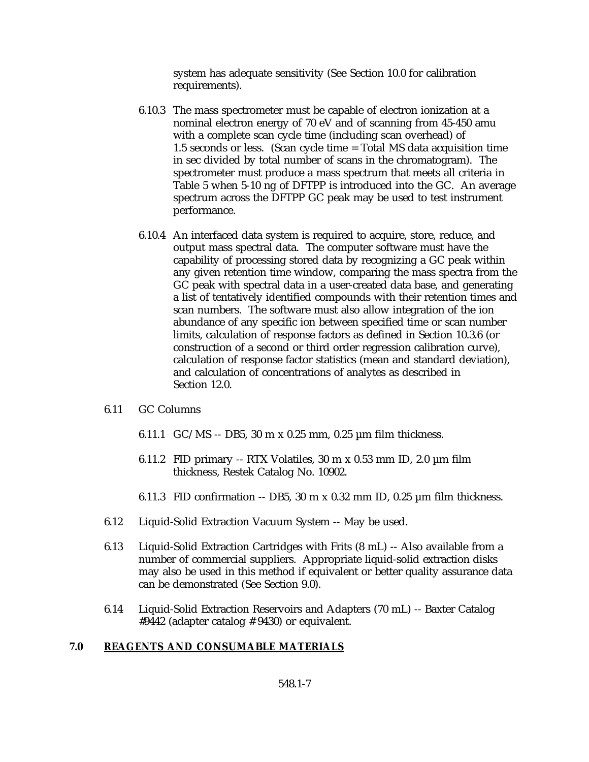system has adequate sensitivity (See Section 10.0 for calibration requirements).

- 6.10.3 The mass spectrometer must be capable of electron ionization at a nominal electron energy of 70 eV and of scanning from 45-450 amu with a complete scan cycle time (including scan overhead) of 1.5 seconds or less. (Scan cycle time = Total MS data acquisition time in sec divided by total number of scans in the chromatogram). The spectrometer must produce a mass spectrum that meets all criteria in Table 5 when 5-10 ng of DFTPP is introduced into the GC. An average spectrum across the DFTPP GC peak may be used to test instrument performance.
- 6.10.4 An interfaced data system is required to acquire, store, reduce, and output mass spectral data. The computer software must have the capability of processing stored data by recognizing a GC peak within any given retention time window, comparing the mass spectra from the GC peak with spectral data in a user-created data base, and generating a list of tentatively identified compounds with their retention times and scan numbers. The software must also allow integration of the ion abundance of any specific ion between specified time or scan number limits, calculation of response factors as defined in Section 10.3.6 (or construction of a second or third order regression calibration curve), calculation of response factor statistics (mean and standard deviation), and calculation of concentrations of analytes as described in Section 12.0.

#### 6.11 GC Columns

- 6.11.1  $\text{GC/MS} \text{DB5}$ , 30 m x 0.25 mm, 0.25 µm film thickness.
- 6.11.2 FID primary -- RTX Volatiles,  $30 \text{ m} \times 0.53 \text{ mm}$  ID,  $2.0 \text{ }\mu\text{m}$  film thickness, Restek Catalog No. 10902.
- 6.11.3 FID confirmation  $-$  DB5, 30 m x 0.32 mm ID, 0.25  $\mu$ m film thickness.
- 6.12 Liquid-Solid Extraction Vacuum System -- May be used.
- 6.13 Liquid-Solid Extraction Cartridges with Frits (8 mL) -- Also available from a number of commercial suppliers. Appropriate liquid-solid extraction disks may also be used in this method if equivalent or better quality assurance data can be demonstrated (See Section 9.0).
- 6.14 Liquid-Solid Extraction Reservoirs and Adapters (70 mL) -- Baxter Catalog #9442 (adapter catalog # 9430) or equivalent.

### **7.0 REAGENTS AND CONSUMABLE MATERIALS**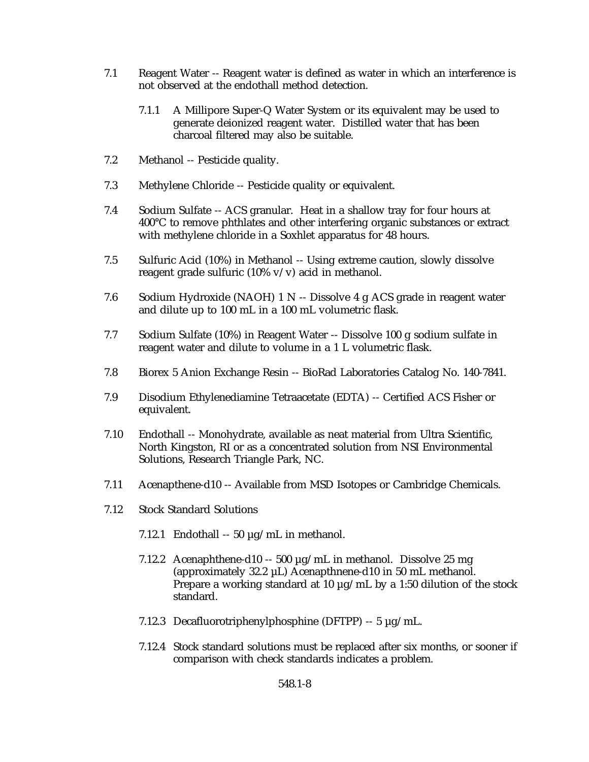- 7.1 Reagent Water -- Reagent water is defined as water in which an interference is not observed at the endothall method detection.
	- 7.1.1 A Millipore Super-Q Water System or its equivalent may be used to generate deionized reagent water. Distilled water that has been charcoal filtered may also be suitable.
- 7.2 Methanol -- Pesticide quality.
- 7.3 Methylene Chloride -- Pesticide quality or equivalent.
- 7.4 Sodium Sulfate -- ACS granular. Heat in a shallow tray for four hours at 400°C to remove phthlates and other interfering organic substances or extract with methylene chloride in a Soxhlet apparatus for 48 hours.
- 7.5 Sulfuric Acid (10%) in Methanol -- Using extreme caution, slowly dissolve reagent grade sulfuric (10% v/v) acid in methanol.
- 7.6 Sodium Hydroxide (NAOH) 1 N -- Dissolve 4 g ACS grade in reagent water and dilute up to 100 mL in a 100 mL volumetric flask.
- 7.7 Sodium Sulfate (10%) in Reagent Water -- Dissolve 100 g sodium sulfate in reagent water and dilute to volume in a 1 L volumetric flask.
- 7.8 Biorex 5 Anion Exchange Resin -- BioRad Laboratories Catalog No. 140-7841.
- 7.9 Disodium Ethylenediamine Tetraacetate (EDTA) -- Certified ACS Fisher or equivalent.
- 7.10 Endothall -- Monohydrate, available as neat material from Ultra Scientific, North Kingston, RI or as a concentrated solution from NSI Environmental Solutions, Research Triangle Park, NC.
- 7.11 Acenapthene-d10 -- Available from MSD Isotopes or Cambridge Chemicals.
- 7.12 Stock Standard Solutions
	- 7.12.1 Endothall  $-50 \mu g/mL$  in methanol.
	- 7.12.2 Acenaphthene-d10 -- 500 µg/mL in methanol. Dissolve 25 mg (approximately 32.2 µL) Acenapthnene-d10 in 50 mL methanol. Prepare a working standard at 10 µg/mL by a 1:50 dilution of the stock standard.
	- 7.12.3 Decafluorotriphenylphosphine (DFTPP) -- 5 µg/mL.
	- 7.12.4 Stock standard solutions must be replaced after six months, or sooner if comparison with check standards indicates a problem.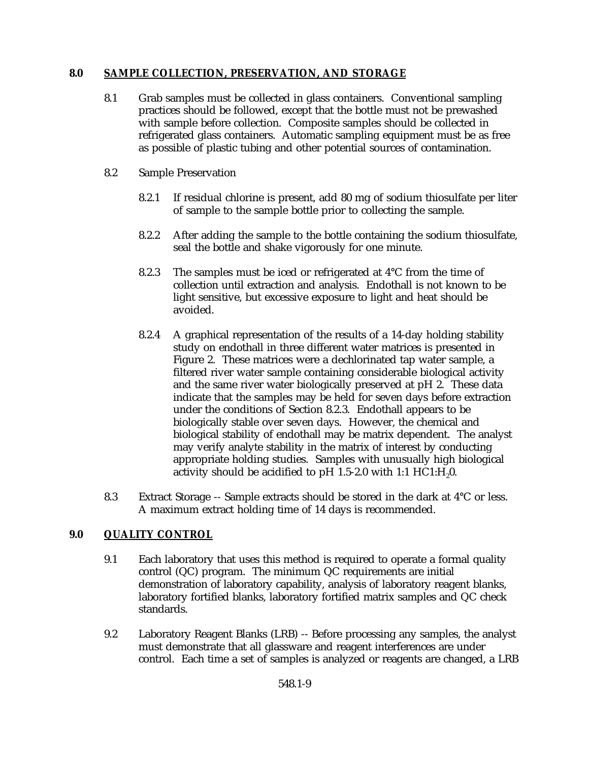### **8.0 SAMPLE COLLECTION, PRESERVATION, AND STORAGE**

- 8.1 Grab samples must be collected in glass containers. Conventional sampling practices should be followed, except that the bottle must not be prewashed with sample before collection. Composite samples should be collected in refrigerated glass containers. Automatic sampling equipment must be as free as possible of plastic tubing and other potential sources of contamination.
- 8.2 Sample Preservation
	- 8.2.1 If residual chlorine is present, add 80 mg of sodium thiosulfate per liter of sample to the sample bottle prior to collecting the sample.
	- 8.2.2 After adding the sample to the bottle containing the sodium thiosulfate, seal the bottle and shake vigorously for one minute.
	- 8.2.3 The samples must be iced or refrigerated at 4°C from the time of collection until extraction and analysis. Endothall is not known to be light sensitive, but excessive exposure to light and heat should be avoided.
	- 8.2.4 A graphical representation of the results of a 14-day holding stability study on endothall in three different water matrices is presented in Figure 2. These matrices were a dechlorinated tap water sample, a filtered river water sample containing considerable biological activity and the same river water biologically preserved at pH 2. These data indicate that the samples may be held for seven days before extraction under the conditions of Section 8.2.3. Endothall appears to be biologically stable over seven days. However, the chemical and biological stability of endothall may be matrix dependent. The analyst may verify analyte stability in the matrix of interest by conducting appropriate holding studies. Samples with unusually high biological activity should be acidified to pH  $1.5$ -2.0 with  $1:1$  HC1:H<sub>2</sub>0.
- 8.3 Extract Storage -- Sample extracts should be stored in the dark at 4°C or less. A maximum extract holding time of 14 days is recommended.

## **9.0 QUALITY CONTROL**

- 9.1 Each laboratory that uses this method is required to operate a formal quality control (QC) program. The minimum QC requirements are initial demonstration of laboratory capability, analysis of laboratory reagent blanks, laboratory fortified blanks, laboratory fortified matrix samples and QC check standards.
- 9.2 Laboratory Reagent Blanks (LRB) -- Before processing any samples, the analyst must demonstrate that all glassware and reagent interferences are under control. Each time a set of samples is analyzed or reagents are changed, a LRB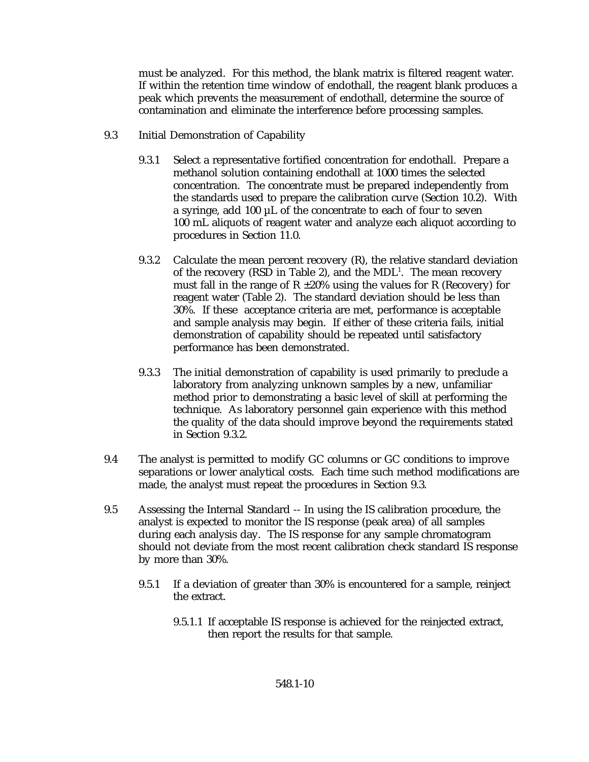must be analyzed. For this method, the blank matrix is filtered reagent water. If within the retention time window of endothall, the reagent blank produces a peak which prevents the measurement of endothall, determine the source of contamination and eliminate the interference before processing samples.

- 9.3 Initial Demonstration of Capability
	- 9.3.1 Select a representative fortified concentration for endothall. Prepare a methanol solution containing endothall at 1000 times the selected concentration. The concentrate must be prepared independently from the standards used to prepare the calibration curve (Section 10.2). With a syringe, add 100 µL of the concentrate to each of four to seven 100 mL aliquots of reagent water and analyze each aliquot according to procedures in Section 11.0.
	- 9.3.2 Calculate the mean percent recovery  $(R)$ , the relative standard deviation of the recovery (RSD in Table 2), and the  $MDL<sup>1</sup>$ . The mean recovery must fall in the range of  $R \pm 20\%$  using the values for R (Recovery) for reagent water (Table 2). The standard deviation should be less than 30%. If these acceptance criteria are met, performance is acceptable and sample analysis may begin. If either of these criteria fails, initial demonstration of capability should be repeated until satisfactory performance has been demonstrated.
	- 9.3.3 The initial demonstration of capability is used primarily to preclude a laboratory from analyzing unknown samples by a new, unfamiliar method prior to demonstrating a basic level of skill at performing the technique. As laboratory personnel gain experience with this method the quality of the data should improve beyond the requirements stated in Section 9.3.2.
- 9.4 The analyst is permitted to modify GC columns or GC conditions to improve separations or lower analytical costs. Each time such method modifications are made, the analyst must repeat the procedures in Section 9.3.
- 9.5 Assessing the Internal Standard -- In using the IS calibration procedure, the analyst is expected to monitor the IS response (peak area) of all samples during each analysis day. The IS response for any sample chromatogram should not deviate from the most recent calibration check standard IS response by more than 30%.
	- 9.5.1 If a deviation of greater than 30% is encountered for a sample, reinject the extract.
		- 9.5.1.1 If acceptable IS response is achieved for the reinjected extract, then report the results for that sample.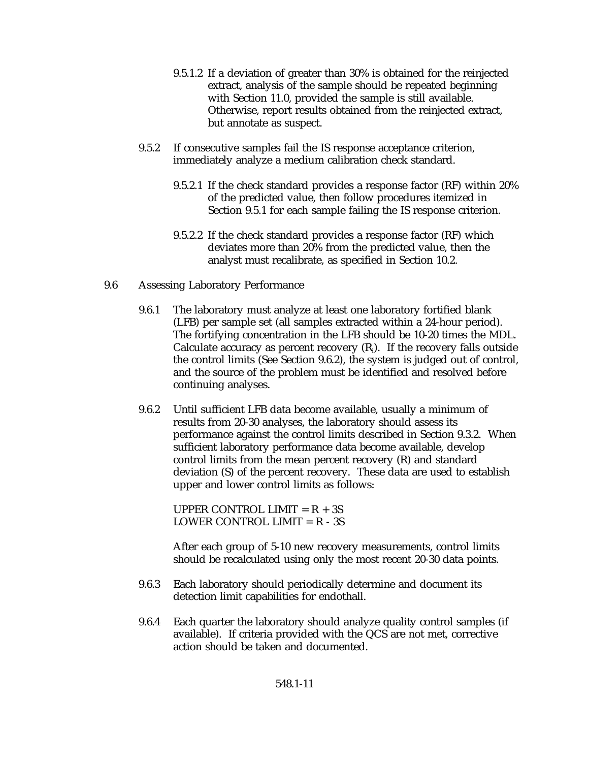- 9.5.1.2 If a deviation of greater than 30% is obtained for the reinjected extract, analysis of the sample should be repeated beginning with Section 11.0, provided the sample is still available. Otherwise, report results obtained from the reinjected extract, but annotate as suspect.
- 9.5.2 If consecutive samples fail the IS response acceptance criterion, immediately analyze a medium calibration check standard.
	- 9.5.2.1 If the check standard provides a response factor (RF) within 20% of the predicted value, then follow procedures itemized in Section 9.5.1 for each sample failing the IS response criterion.
	- 9.5.2.2 If the check standard provides a response factor (RF) which deviates more than 20% from the predicted value, then the analyst must recalibrate, as specified in Section 10.2.
- 9.6 Assessing Laboratory Performance
	- 9.6.1 The laboratory must analyze at least one laboratory fortified blank (LFB) per sample set (all samples extracted within a 24-hour period). The fortifying concentration in the LFB should be 10-20 times the MDL. Calculate accuracy as percent recovery  $(R_i)$ . If the recovery falls outside the control limits (See Section 9.6.2), the system is judged out of control, and the source of the problem must be identified and resolved before continuing analyses.
	- 9.6.2 Until sufficient LFB data become available, usually a minimum of results from 20-30 analyses, the laboratory should assess its performance against the control limits described in Section 9.3.2. When sufficient laboratory performance data become available, develop control limits from the mean percent recovery (R) and standard deviation (S) of the percent recovery. These data are used to establish upper and lower control limits as follows:

UPPER CONTROL LIMIT =  $R + 3S$ LOWER CONTROL LIMIT =  $R - 3S$ 

After each group of 5-10 new recovery measurements, control limits should be recalculated using only the most recent 20-30 data points.

- 9.6.3 Each laboratory should periodically determine and document its detection limit capabilities for endothall.
- 9.6.4 Each quarter the laboratory should analyze quality control samples (if available). If criteria provided with the QCS are not met, corrective action should be taken and documented.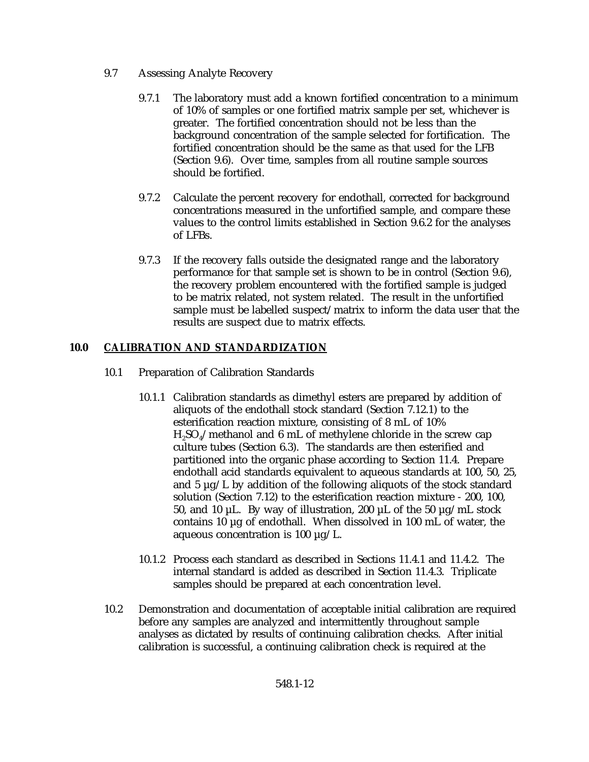- 9.7 Assessing Analyte Recovery
	- 9.7.1 The laboratory must add a known fortified concentration to a minimum of 10% of samples or one fortified matrix sample per set, whichever is greater. The fortified concentration should not be less than the background concentration of the sample selected for fortification. The fortified concentration should be the same as that used for the LFB (Section 9.6). Over time, samples from all routine sample sources should be fortified.
	- 9.7.2 Calculate the percent recovery for endothall, corrected for background concentrations measured in the unfortified sample, and compare these values to the control limits established in Section 9.6.2 for the analyses of LFBs.
	- 9.7.3 If the recovery falls outside the designated range and the laboratory performance for that sample set is shown to be in control (Section 9.6), the recovery problem encountered with the fortified sample is judged to be matrix related, not system related. The result in the unfortified sample must be labelled suspect/matrix to inform the data user that the results are suspect due to matrix effects.

## **10.0 CALIBRATION AND STANDARDIZATION**

- 10.1 Preparation of Calibration Standards
	- 10.1.1 Calibration standards as dimethyl esters are prepared by addition of aliquots of the endothall stock standard (Section 7.12.1) to the esterification reaction mixture, consisting of 8 mL of 10%  $H<sub>2</sub>SO<sub>4</sub>$ /methanol and 6 mL of methylene chloride in the screw cap culture tubes (Section 6.3). The standards are then esterified and partitioned into the organic phase according to Section 11.4. Prepare endothall acid standards equivalent to aqueous standards at 100, 50, 25, and 5  $\mu$ g/L by addition of the following aliquots of the stock standard solution (Section 7.12) to the esterification reaction mixture - 200, 100, 50, and 10  $\mu$ L. By way of illustration, 200  $\mu$ L of the 50  $\mu$ g/mL stock contains 10 µg of endothall. When dissolved in 100 mL of water, the aqueous concentration is  $100 \mu g/L$ .
	- 10.1.2 Process each standard as described in Sections 11.4.1 and 11.4.2. The internal standard is added as described in Section 11.4.3. Triplicate samples should be prepared at each concentration level.
- 10.2 Demonstration and documentation of acceptable initial calibration are required before any samples are analyzed and intermittently throughout sample analyses as dictated by results of continuing calibration checks. After initial calibration is successful, a continuing calibration check is required at the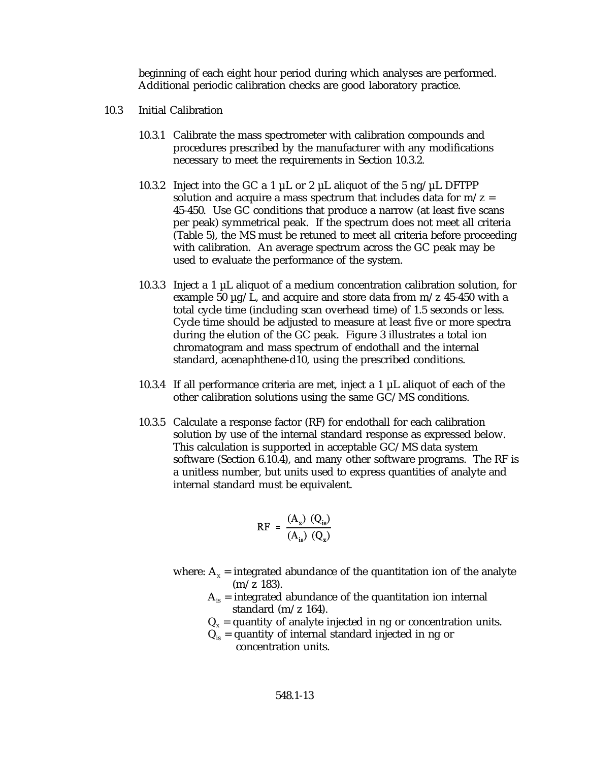beginning of each eight hour period during which analyses are performed. Additional periodic calibration checks are good laboratory practice.

- 10.3 Initial Calibration
	- 10.3.1 Calibrate the mass spectrometer with calibration compounds and procedures prescribed by the manufacturer with any modifications necessary to meet the requirements in Section 10.3.2.
	- 10.3.2 Inject into the GC a 1  $\mu$ L or 2  $\mu$ L aliquot of the 5 ng/ $\mu$ L DFTPP solution and acquire a mass spectrum that includes data for  $m/z =$ 45-450. Use GC conditions that produce a narrow (at least five scans per peak) symmetrical peak. If the spectrum does not meet all criteria (Table 5), the MS must be retuned to meet all criteria before proceeding with calibration. An average spectrum across the GC peak may be used to evaluate the performance of the system.
	- 10.3.3 Inject a 1  $\mu$ L aliquot of a medium concentration calibration solution, for example 50  $\mu$ g/L, and acquire and store data from m/z 45-450 with a total cycle time (including scan overhead time) of 1.5 seconds or less. Cycle time should be adjusted to measure at least five or more spectra during the elution of the GC peak. Figure 3 illustrates a total ion chromatogram and mass spectrum of endothall and the internal standard, acenaphthene-d10, using the prescribed conditions.
	- 10.3.4 If all performance criteria are met, inject a 1  $\mu$ L aliquot of each of the other calibration solutions using the same GC/MS conditions.
	- 10.3.5 Calculate a response factor (RF) for endothall for each calibration solution by use of the internal standard response as expressed below. This calculation is supported in acceptable GC/MS data system software (Section 6.10.4), and many other software programs. The RF is a unitless number, but units used to express quantities of analyte and internal standard must be equivalent.

$$
RF = \frac{(A_x) (Q_{is})}{(A_{is}) (Q_x)}
$$

- where:  $A_x$  = integrated abundance of the quantitation ion of the analyte  $(m/z 183)$ .
	- $A<sub>is</sub>$  = integrated abundance of the quantitation ion internal standard (m/z 164).
	- $Q_x$  = quantity of analyte injected in ng or concentration units.
	- $Q_{is}$  = quantity of internal standard injected in ng or concentration units.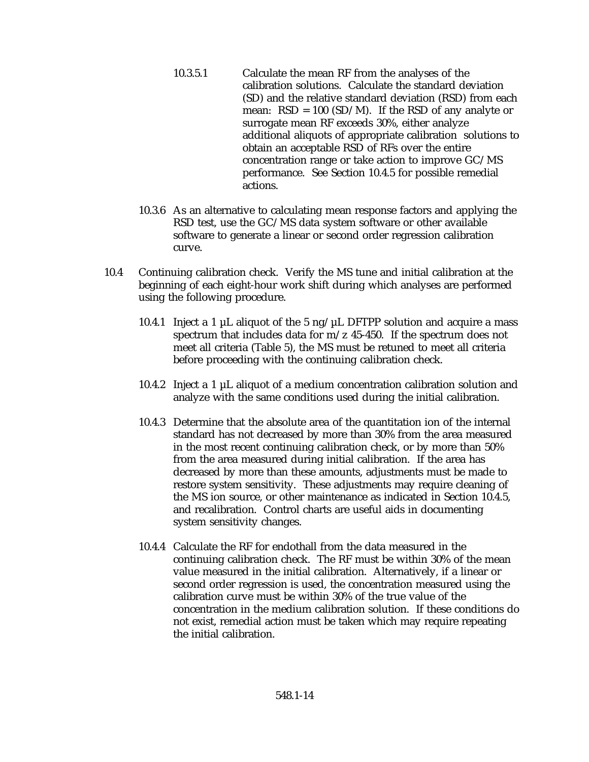- 10.3.5.1 Calculate the mean RF from the analyses of the calibration solutions. Calculate the standard deviation (SD) and the relative standard deviation (RSD) from each mean:  $RSD = 100 (SD/M)$ . If the RSD of any analyte or surrogate mean RF exceeds 30%, either analyze additional aliquots of appropriate calibration solutions to obtain an acceptable RSD of RFs over the entire concentration range or take action to improve GC/MS performance. See Section 10.4.5 for possible remedial actions.
- 10.3.6 As an alternative to calculating mean response factors and applying the RSD test, use the GC/MS data system software or other available software to generate a linear or second order regression calibration curve.
- 10.4 Continuing calibration check. Verify the MS tune and initial calibration at the beginning of each eight-hour work shift during which analyses are performed using the following procedure.
	- 10.4.1 Inject a 1  $\mu$ L aliquot of the 5 ng/ $\mu$ L DFTPP solution and acquire a mass spectrum that includes data for  $m/z$  45-450. If the spectrum does not meet all criteria (Table 5), the MS must be retuned to meet all criteria before proceeding with the continuing calibration check.
	- 10.4.2 Inject a 1  $\mu$ L aliquot of a medium concentration calibration solution and analyze with the same conditions used during the initial calibration.
	- 10.4.3 Determine that the absolute area of the quantitation ion of the internal standard has not decreased by more than 30% from the area measured in the most recent continuing calibration check, or by more than 50% from the area measured during initial calibration. If the area has decreased by more than these amounts, adjustments must be made to restore system sensitivity. These adjustments may require cleaning of the MS ion source, or other maintenance as indicated in Section 10.4.5, and recalibration. Control charts are useful aids in documenting system sensitivity changes.
	- 10.4.4 Calculate the RF for endothall from the data measured in the continuing calibration check. The RF must be within 30% of the mean value measured in the initial calibration. Alternatively, if a linear or second order regression is used, the concentration measured using the calibration curve must be within 30% of the true value of the concentration in the medium calibration solution. If these conditions do not exist, remedial action must be taken which may require repeating the initial calibration.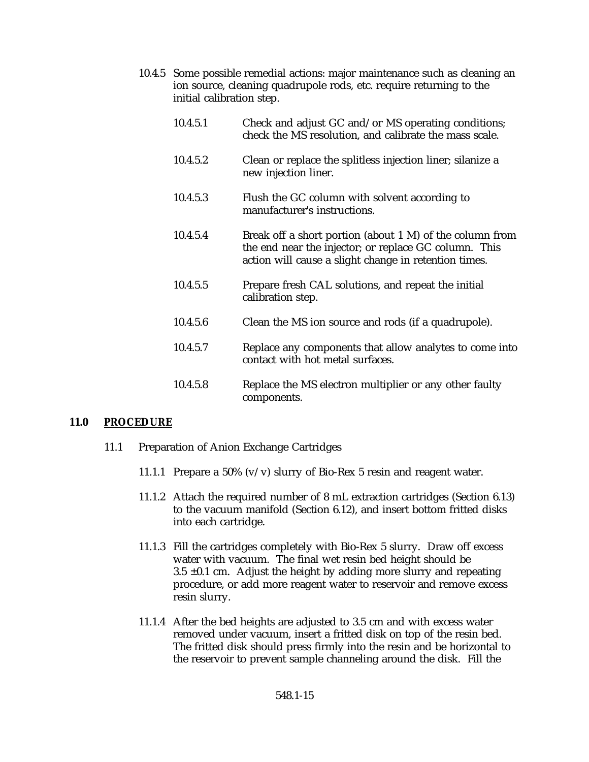- 10.4.5 Some possible remedial actions: major maintenance such as cleaning an ion source, cleaning quadrupole rods, etc. require returning to the initial calibration step.
	- 10.4.5.1 Check and adjust GC and/or MS operating conditions; check the MS resolution, and calibrate the mass scale.
	- 10.4.5.2 Clean or replace the splitless injection liner; silanize a new injection liner.
	- 10.4.5.3 Flush the GC column with solvent according to manufacturer's instructions.
	- 10.4.5.4 Break off a short portion (about 1 M) of the column from the end near the injector; or replace GC column. This action will cause a slight change in retention times.
	- 10.4.5.5 Prepare fresh CAL solutions, and repeat the initial calibration step.
	- 10.4.5.6 Clean the MS ion source and rods (if a quadrupole).
	- 10.4.5.7 Replace any components that allow analytes to come into contact with hot metal surfaces.
	- 10.4.5.8 Replace the MS electron multiplier or any other faulty components.

#### **11.0 PROCEDURE**

- 11.1 Preparation of Anion Exchange Cartridges
	- 11.1.1 Prepare a 50%  $(v/v)$  slurry of Bio-Rex 5 resin and reagent water.
	- 11.1.2 Attach the required number of 8 mL extraction cartridges (Section 6.13) to the vacuum manifold (Section 6.12), and insert bottom fritted disks into each cartridge.
	- 11.1.3 Fill the cartridges completely with Bio-Rex 5 slurry. Draw off excess water with vacuum. The final wet resin bed height should be  $3.5 \pm 0.1$  cm. Adjust the height by adding more slurry and repeating procedure, or add more reagent water to reservoir and remove excess resin slurry.
	- 11.1.4 After the bed heights are adjusted to 3.5 cm and with excess water removed under vacuum, insert a fritted disk on top of the resin bed. The fritted disk should press firmly into the resin and be horizontal to the reservoir to prevent sample channeling around the disk. Fill the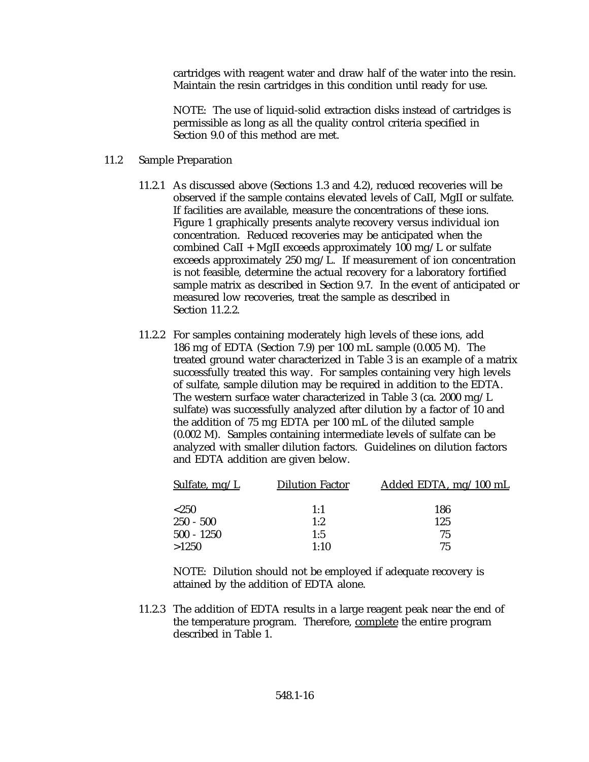cartridges with reagent water and draw half of the water into the resin. Maintain the resin cartridges in this condition until ready for use.

NOTE: The use of liquid-solid extraction disks instead of cartridges is permissible as long as all the quality control criteria specified in Section 9.0 of this method are met.

- 11.2 Sample Preparation
	- 11.2.1 As discussed above (Sections 1.3 and 4.2), reduced recoveries will be observed if the sample contains elevated levels of CaII, MgII or sulfate. If facilities are available, measure the concentrations of these ions. Figure 1 graphically presents analyte recovery versus individual ion concentration. Reduced recoveries may be anticipated when the combined CaII + MgII exceeds approximately 100 mg/L or sulfate exceeds approximately 250 mg/L. If measurement of ion concentration is not feasible, determine the actual recovery for a laboratory fortified sample matrix as described in Section 9.7. In the event of anticipated or measured low recoveries, treat the sample as described in Section 11.2.2.
	- 11.2.2 For samples containing moderately high levels of these ions, add 186 mg of EDTA (Section 7.9) per 100 mL sample (0.005 M). The treated ground water characterized in Table 3 is an example of a matrix successfully treated this way. For samples containing very high levels of sulfate, sample dilution may be required in addition to the EDTA. The western surface water characterized in Table 3 (ca. 2000 mg/L sulfate) was successfully analyzed after dilution by a factor of 10 and the addition of 75 mg EDTA per 100 mL of the diluted sample (0.002 M). Samples containing intermediate levels of sulfate can be analyzed with smaller dilution factors. Guidelines on dilution factors and EDTA addition are given below.

| Sulfate, $mg/L$ | <b>Dilution Factor</b> | Added EDTA, $mg/100$ mL |
|-----------------|------------------------|-------------------------|
| ${<}250$        | 1:1                    | 186                     |
| $250 - 500$     | 1:2                    | 125                     |
| $500 - 1250$    | 1:5                    | 75                      |
| >1250           | 1:10                   | 75                      |

NOTE: Dilution should not be employed if adequate recovery is attained by the addition of EDTA alone.

11.2.3 The addition of EDTA results in a large reagent peak near the end of the temperature program. Therefore, complete the entire program described in Table 1.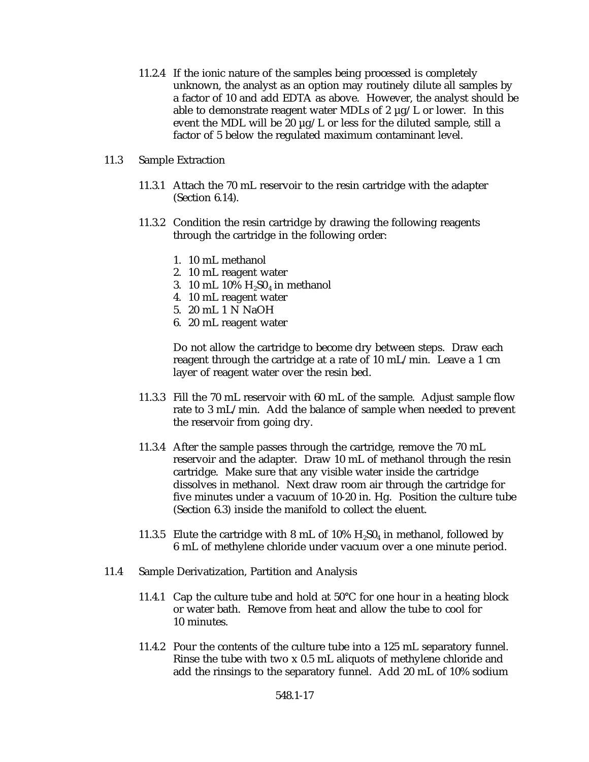- 11.2.4 If the ionic nature of the samples being processed is completely unknown, the analyst as an option may routinely dilute all samples by a factor of 10 and add EDTA as above. However, the analyst should be able to demonstrate reagent water MDLs of 2  $\mu$ g/L or lower. In this event the MDL will be 20  $\mu$ g/L or less for the diluted sample, still a factor of 5 below the regulated maximum contaminant level.
- 11.3 Sample Extraction
	- 11.3.1 Attach the 70 mL reservoir to the resin cartridge with the adapter (Section 6.14).
	- 11.3.2 Condition the resin cartridge by drawing the following reagents through the cartridge in the following order:
		- 1. 10 mL methanol
		- 2. 10 mL reagent water
		- 3. 10 mL 10%  $H_2SO_4$  in methanol
		- 4. 10 mL reagent water
		- 5. 20 mL 1 N NaOH
		- 6. 20 mL reagent water

Do not allow the cartridge to become dry between steps. Draw each reagent through the cartridge at a rate of 10 mL/min. Leave a 1 cm layer of reagent water over the resin bed.

- 11.3.3 Fill the 70 mL reservoir with 60 mL of the sample. Adjust sample flow rate to 3 mL/min. Add the balance of sample when needed to prevent the reservoir from going dry.
- 11.3.4 After the sample passes through the cartridge, remove the 70 mL reservoir and the adapter. Draw 10 mL of methanol through the resin cartridge. Make sure that any visible water inside the cartridge dissolves in methanol. Next draw room air through the cartridge for five minutes under a vacuum of 10-20 in. Hg. Position the culture tube (Section 6.3) inside the manifold to collect the eluent.
- 11.3.5 Elute the cartridge with 8 mL of 10%  $H_2SO_4$  in methanol, followed by 6 mL of methylene chloride under vacuum over a one minute period.
- 11.4 Sample Derivatization, Partition and Analysis
	- 11.4.1 Cap the culture tube and hold at  $50^{\circ}$ C for one hour in a heating block or water bath. Remove from heat and allow the tube to cool for 10 minutes.
	- 11.4.2 Pour the contents of the culture tube into a 125 mL separatory funnel. Rinse the tube with two x 0.5 mL aliquots of methylene chloride and add the rinsings to the separatory funnel. Add 20 mL of 10% sodium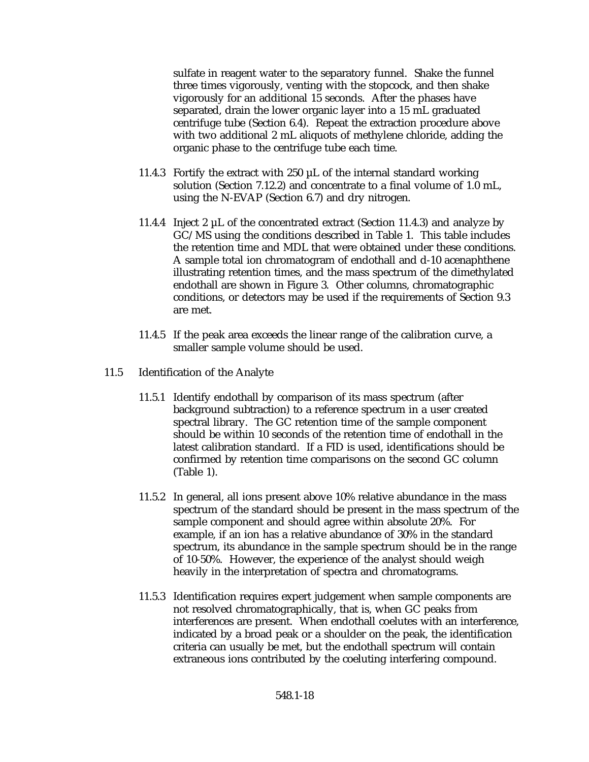sulfate in reagent water to the separatory funnel. Shake the funnel three times vigorously, venting with the stopcock, and then shake vigorously for an additional 15 seconds. After the phases have separated, drain the lower organic layer into a 15 mL graduated centrifuge tube (Section 6.4). Repeat the extraction procedure above with two additional 2 mL aliquots of methylene chloride, adding the organic phase to the centrifuge tube each time.

- 11.4.3 Fortify the extract with  $250 \mu L$  of the internal standard working solution (Section 7.12.2) and concentrate to a final volume of 1.0 mL, using the N-EVAP (Section 6.7) and dry nitrogen.
- 11.4.4 Inject 2  $\mu$ L of the concentrated extract (Section 11.4.3) and analyze by GC/MS using the conditions described in Table 1. This table includes the retention time and MDL that were obtained under these conditions. A sample total ion chromatogram of endothall and d-10 acenaphthene illustrating retention times, and the mass spectrum of the dimethylated endothall are shown in Figure 3. Other columns, chromatographic conditions, or detectors may be used if the requirements of Section 9.3 are met.
- 11.4.5 If the peak area exceeds the linear range of the calibration curve, a smaller sample volume should be used.
- 11.5 Identification of the Analyte
	- 11.5.1 Identify endothall by comparison of its mass spectrum (after background subtraction) to a reference spectrum in a user created spectral library. The GC retention time of the sample component should be within 10 seconds of the retention time of endothall in the latest calibration standard. If a FID is used, identifications should be confirmed by retention time comparisons on the second GC column (Table 1).
	- 11.5.2 In general, all ions present above 10% relative abundance in the mass spectrum of the standard should be present in the mass spectrum of the sample component and should agree within absolute 20%. For example, if an ion has a relative abundance of 30% in the standard spectrum, its abundance in the sample spectrum should be in the range of 10-50%. However, the experience of the analyst should weigh heavily in the interpretation of spectra and chromatograms.
	- 11.5.3 Identification requires expert judgement when sample components are not resolved chromatographically, that is, when GC peaks from interferences are present. When endothall coelutes with an interference, indicated by a broad peak or a shoulder on the peak, the identification criteria can usually be met, but the endothall spectrum will contain extraneous ions contributed by the coeluting interfering compound.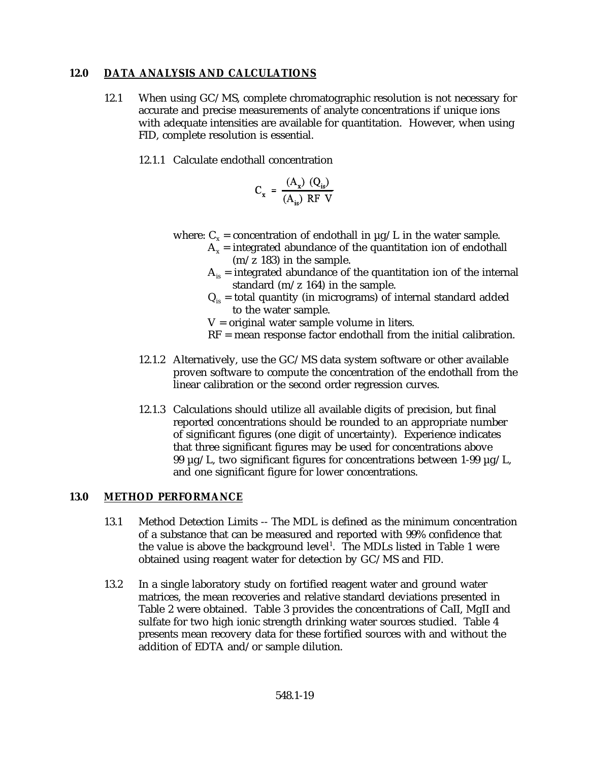### **12.0 DATA ANALYSIS AND CALCULATIONS**

12.1 When using GC/MS, complete chromatographic resolution is not necessary for accurate and precise measurements of analyte concentrations if unique ions with adequate intensities are available for quantitation. However, when using FID, complete resolution is essential.

alah sebagai se

12.1.1 Calculate endothall concentration

$$
C_x = \frac{(A_x) (Q_{is})}{(A_{is}) RF V}
$$

where:  $C_x$  = concentration of endothall in  $\mu$ g/L in the water sample.

- $A_x$  = integrated abundance of the quantitation ion of endothall (m/z 183) in the sample.
- $A_{is}$  = integrated abundance of the quantitation ion of the internal standard (m/z 164) in the sample.
- $Q_{iS}$  = total quantity (in micrograms) of internal standard added to the water sample.
- $V =$  original water sample volume in liters.
- RF = mean response factor endothall from the initial calibration.
- 12.1.2 Alternatively, use the GC/MS data system software or other available proven software to compute the concentration of the endothall from the linear calibration or the second order regression curves.
- 12.1.3 Calculations should utilize all available digits of precision, but final reported concentrations should be rounded to an appropriate number of significant figures (one digit of uncertainty). Experience indicates that three significant figures may be used for concentrations above 99  $\mu$ g/L, two significant figures for concentrations between 1-99  $\mu$ g/L, and one significant figure for lower concentrations.

## **13.0 METHOD PERFORMANCE**

- 13.1 Method Detection Limits -- The MDL is defined as the minimum concentration of a substance that can be measured and reported with 99% confidence that the value is above the background level<sup>1</sup>. The MDLs listed in Table 1 were obtained using reagent water for detection by GC/MS and FID.
- 13.2 In a single laboratory study on fortified reagent water and ground water matrices, the mean recoveries and relative standard deviations presented in Table 2 were obtained. Table 3 provides the concentrations of CaII, MgII and sulfate for two high ionic strength drinking water sources studied. Table 4 presents mean recovery data for these fortified sources with and without the addition of EDTA and/or sample dilution.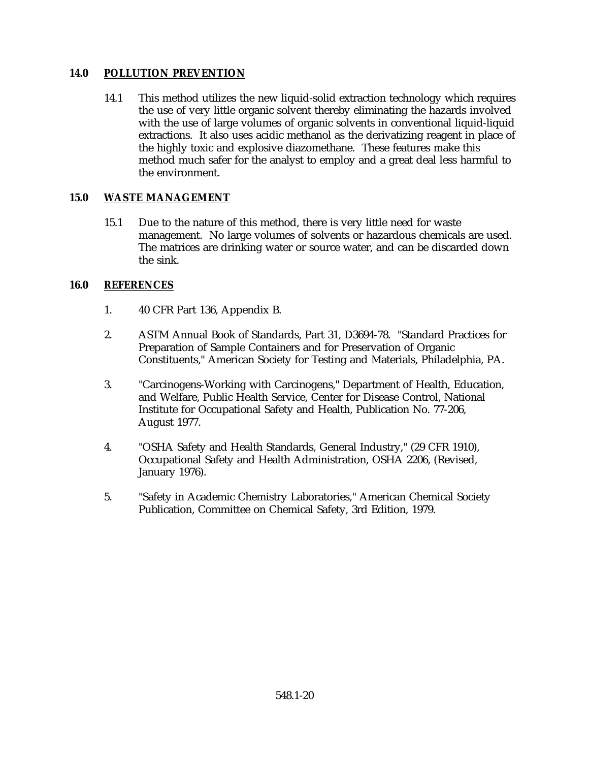### **14.0 POLLUTION PREVENTION**

14.1 This method utilizes the new liquid-solid extraction technology which requires the use of very little organic solvent thereby eliminating the hazards involved with the use of large volumes of organic solvents in conventional liquid-liquid extractions. It also uses acidic methanol as the derivatizing reagent in place of the highly toxic and explosive diazomethane. These features make this method much safer for the analyst to employ and a great deal less harmful to the environment.

### **15.0 WASTE MANAGEMENT**

15.1 Due to the nature of this method, there is very little need for waste management. No large volumes of solvents or hazardous chemicals are used. The matrices are drinking water or source water, and can be discarded down the sink.

### **16.0 REFERENCES**

- 1. 40 CFR Part 136, Appendix B.
- 2. ASTM Annual Book of Standards, Part 31, D3694-78. "Standard Practices for Preparation of Sample Containers and for Preservation of Organic Constituents," American Society for Testing and Materials, Philadelphia, PA.
- 3. "Carcinogens-Working with Carcinogens," Department of Health, Education, and Welfare, Public Health Service, Center for Disease Control, National Institute for Occupational Safety and Health, Publication No. 77-206, August 1977.
- 4. "OSHA Safety and Health Standards, General Industry," (29 CFR 1910), Occupational Safety and Health Administration, OSHA 2206, (Revised, January 1976).
- 5. "Safety in Academic Chemistry Laboratories," American Chemical Society Publication, Committee on Chemical Safety, 3rd Edition, 1979.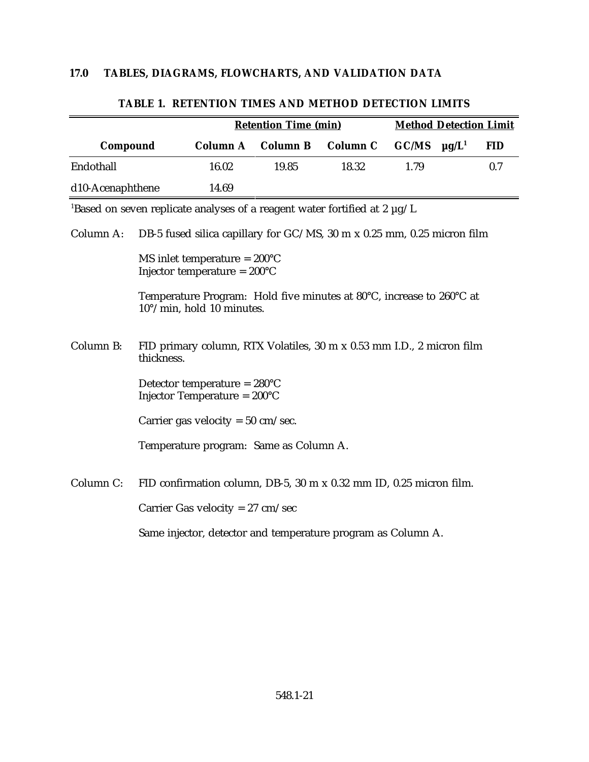|                                                                                                                                  | <b>Retention Time (min)</b>                                                                                                                                                                            |                                                                                            |                 | <b>Method Detection Limit</b> |       |                        |            |
|----------------------------------------------------------------------------------------------------------------------------------|--------------------------------------------------------------------------------------------------------------------------------------------------------------------------------------------------------|--------------------------------------------------------------------------------------------|-----------------|-------------------------------|-------|------------------------|------------|
| Compound                                                                                                                         |                                                                                                                                                                                                        | <b>Column A</b>                                                                            | <b>Column B</b> | <b>Column C</b>               | GC/MS | $\mu$ g/L <sup>1</sup> | <b>FID</b> |
| Endothall                                                                                                                        |                                                                                                                                                                                                        | 16.02                                                                                      | 19.85           | 18.32                         | 1.79  |                        | 0.7        |
| d10-Acenaphthene                                                                                                                 |                                                                                                                                                                                                        | 14.69                                                                                      |                 |                               |       |                        |            |
|                                                                                                                                  |                                                                                                                                                                                                        | <sup>1</sup> Based on seven replicate analyses of a reagent water fortified at 2 $\mu$ g/L |                 |                               |       |                        |            |
| DB-5 fused silica capillary for GC/MS, 30 m x 0.25 mm, 0.25 micron film<br>Column A:                                             |                                                                                                                                                                                                        |                                                                                            |                 |                               |       |                        |            |
|                                                                                                                                  | MS inlet temperature = $200^{\circ}$ C<br>Injector temperature = $200^{\circ}$ C<br>Temperature Program: Hold five minutes at 80°C, increase to 260°C at<br>$10^{\circ}/\text{min}$ , hold 10 minutes. |                                                                                            |                 |                               |       |                        |            |
|                                                                                                                                  |                                                                                                                                                                                                        |                                                                                            |                 |                               |       |                        |            |
| Column B:<br>FID primary column, RTX Volatiles, 30 m x 0.53 mm I.D., 2 micron film<br>thickness.                                 |                                                                                                                                                                                                        |                                                                                            |                 |                               |       |                        |            |
| Detector temperature = $280^{\circ}$ C<br>Injector Temperature = $200^{\circ}$ C<br>Carrier gas velocity = $50 \text{ cm/sec}$ . |                                                                                                                                                                                                        |                                                                                            |                 |                               |       |                        |            |
|                                                                                                                                  |                                                                                                                                                                                                        |                                                                                            |                 |                               |       |                        |            |
|                                                                                                                                  |                                                                                                                                                                                                        | Temperature program: Same as Column A.                                                     |                 |                               |       |                        |            |
| Column C:                                                                                                                        |                                                                                                                                                                                                        | FID confirmation column, DB-5, 30 m x 0.32 mm ID, 0.25 micron film.                        |                 |                               |       |                        |            |
| Carrier Gas velocity = $27 \text{ cm/sec}$                                                                                       |                                                                                                                                                                                                        |                                                                                            |                 |                               |       |                        |            |
|                                                                                                                                  |                                                                                                                                                                                                        | Same injector, detector and temperature program as Column A.                               |                 |                               |       |                        |            |

### **TABLE 1. RETENTION TIMES AND METHOD DETECTION LIMITS**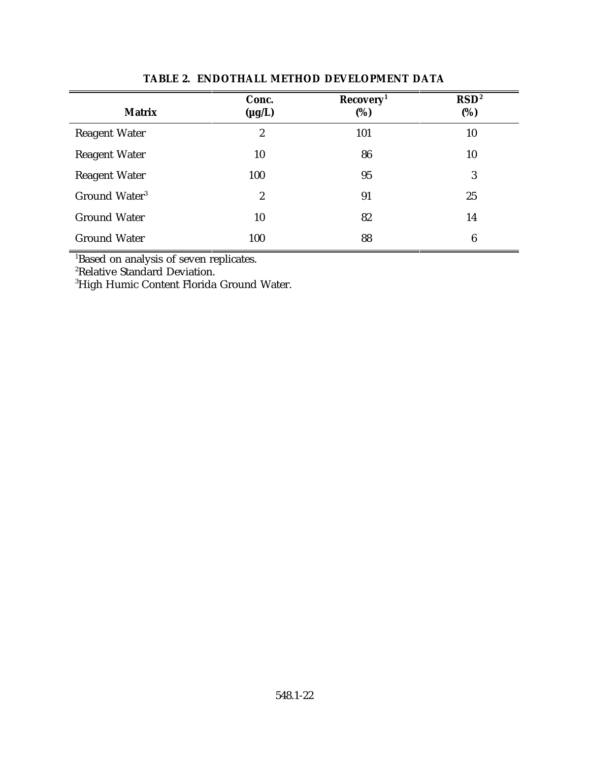| <b>Matrix</b>             | Conc.<br>$(\mu g/L)$ | Recovery <sup>1</sup><br>(%) | RSD <sup>2</sup><br>(%) |
|---------------------------|----------------------|------------------------------|-------------------------|
| <b>Reagent Water</b>      | $\boldsymbol{2}$     | 101                          | 10                      |
| <b>Reagent Water</b>      | 10                   | 86                           | 10                      |
| <b>Reagent Water</b>      | 100                  | 95                           | 3                       |
| Ground Water <sup>3</sup> | $\boldsymbol{2}$     | 91                           | 25                      |
| <b>Ground Water</b>       | 10                   | 82                           | 14                      |
| <b>Ground Water</b>       | 100                  | 88                           | 6                       |

### **TABLE 2. ENDOTHALL METHOD DEVELOPMENT DATA**

<sup>1</sup>Based on analysis of seven replicates.

<sup>2</sup>Relative Standard Deviation.

<sup>3</sup>High Humic Content Florida Ground Water.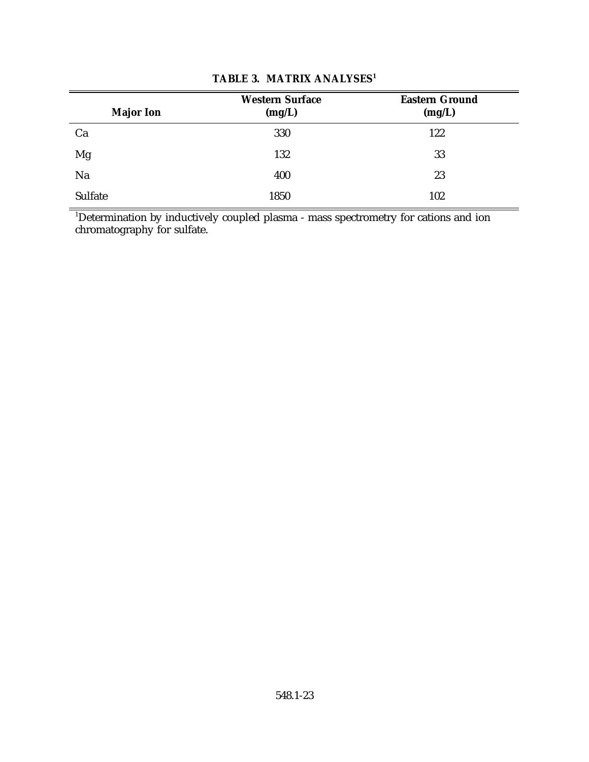| <b>Major Ion</b> | <b>Western Surface</b><br>(mg/L) | <b>Eastern Ground</b><br>(mg/L) |
|------------------|----------------------------------|---------------------------------|
| Ca               | 330                              | 122                             |
| Mg               | 132                              | 33                              |
| Na               | 400                              | 23                              |
| Sulfate          | 1850                             | 102                             |

# **TABLE 3. MATRIX ANALYSES<sup>1</sup>**

 $^1$ Determination by inductively coupled plasma - mass spectrometry for cations and ion chromatography for sulfate.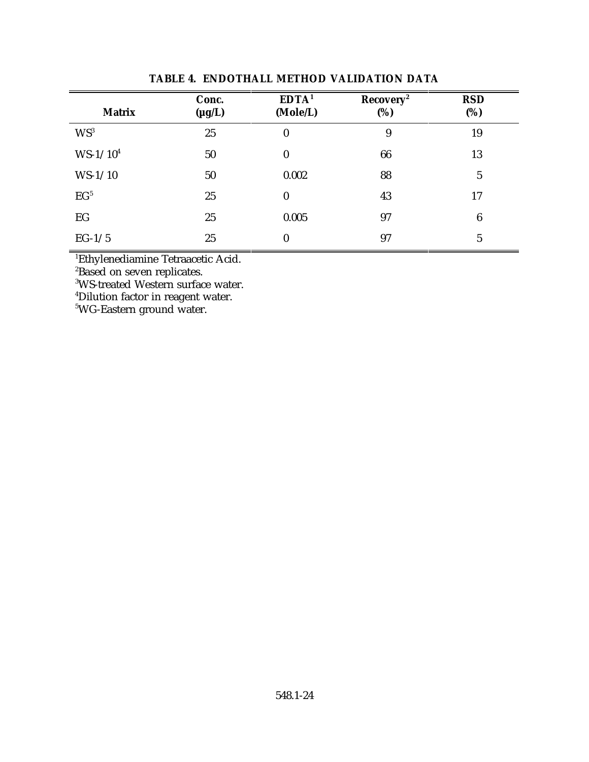| <b>Matrix</b>   | Conc.<br>$(\mu g/L)$ | EDTA <sup>1</sup><br>(Mole/L) | Recovery <sup>2</sup><br>(%) | <b>RSD</b><br>(%) |
|-----------------|----------------------|-------------------------------|------------------------------|-------------------|
| $WS^3$          | 25                   | $\boldsymbol{0}$              | 9                            | 19                |
| $WS-1/10^4$     | 50                   | $\boldsymbol{0}$              | 66                           | 13                |
| $WS-1/10$       | 50                   | 0.002                         | 88                           | $\overline{5}$    |
| EG <sup>5</sup> | 25                   | $\bf{0}$                      | 43                           | 17                |
| EG              | 25                   | 0.005                         | 97                           | $\boldsymbol{6}$  |
| $EG-1/5$        | 25                   | $\bf{0}$                      | 97                           | $\overline{5}$    |

### **TABLE 4. ENDOTHALL METHOD VALIDATION DATA**

<sup>1</sup>Ethylenediamine Tetraacetic Acid.

<sup>2</sup>Based on seven replicates.

<sup>3</sup>WS-treated Western surface water.

<sup>4</sup>Dilution factor in reagent water.

<sup>5</sup>WG-Eastern ground water.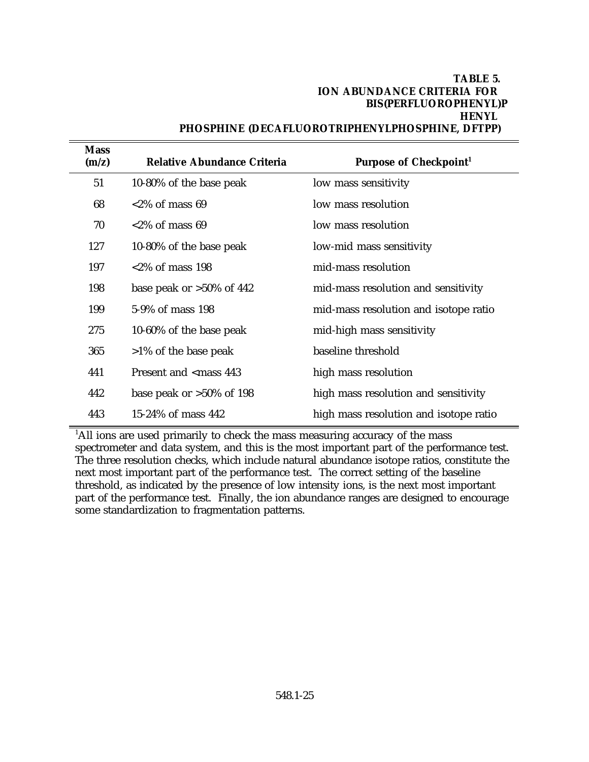### **TABLE 5. ION ABUNDANCE CRITERIA FOR BIS(PERFLUOROPHENYL)P HENYL PHOSPHINE (DECAFLUOROTRIPHENYLPHOSPHINE, DFTPP)**

| <b>Mass</b><br>(m/z) | <b>Relative Abundance Criteria</b>                                   | Purpose of Checkpoint <sup>1</sup>     |
|----------------------|----------------------------------------------------------------------|----------------------------------------|
| 51                   | 10-80% of the base peak                                              | low mass sensitivity                   |
| 68                   | $<2\%$ of mass 69                                                    | low mass resolution                    |
| 70                   | $<2\%$ of mass 69                                                    | low mass resolution                    |
| 127                  | 10-80% of the base peak                                              | low-mid mass sensitivity               |
| 197                  | $<2\%$ of mass 198                                                   | mid-mass resolution                    |
| 198                  | base peak or $>50\%$ of 442                                          | mid-mass resolution and sensitivity    |
| 199                  | 5-9% of mass 198                                                     | mid-mass resolution and isotope ratio  |
| 275                  | 10-60% of the base peak                                              | mid-high mass sensitivity              |
| 365                  | $>1\%$ of the base peak                                              | baseline threshold                     |
| 441                  | Present and <mass 443<="" th=""><th>high mass resolution</th></mass> | high mass resolution                   |
| 442                  | base peak or $>50\%$ of 198                                          | high mass resolution and sensitivity   |
| 443                  | 15-24% of mass 442                                                   | high mass resolution and isotope ratio |
|                      |                                                                      |                                        |

 $<sup>1</sup>$ All ions are used primarily to check the mass measuring accuracy of the mass</sup> spectrometer and data system, and this is the most important part of the performance test. The three resolution checks, which include natural abundance isotope ratios, constitute the next most important part of the performance test. The correct setting of the baseline threshold, as indicated by the presence of low intensity ions, is the next most important part of the performance test. Finally, the ion abundance ranges are designed to encourage some standardization to fragmentation patterns.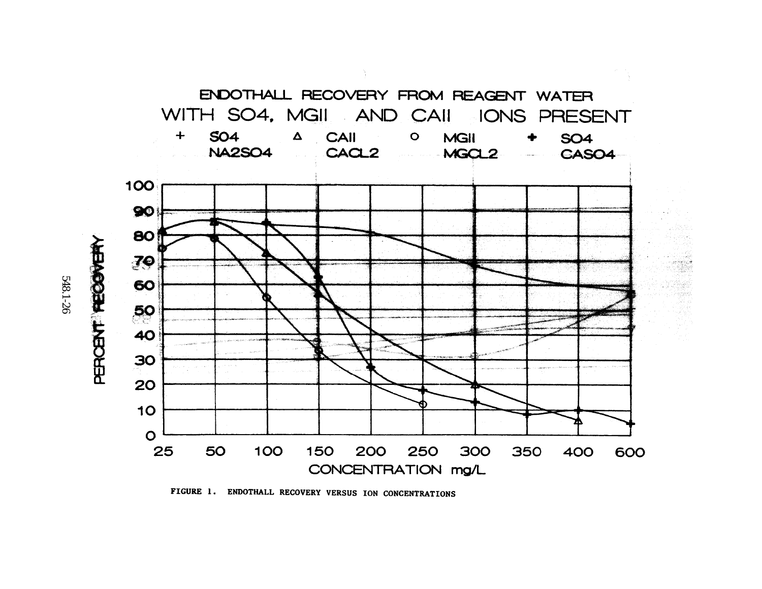

250 300

FIGURE 1. ENDOTHALL RECOVERY VERSUS ION CONCENTRATIONS

CONCENTRATION mg/L

548.1-26

 $\circ$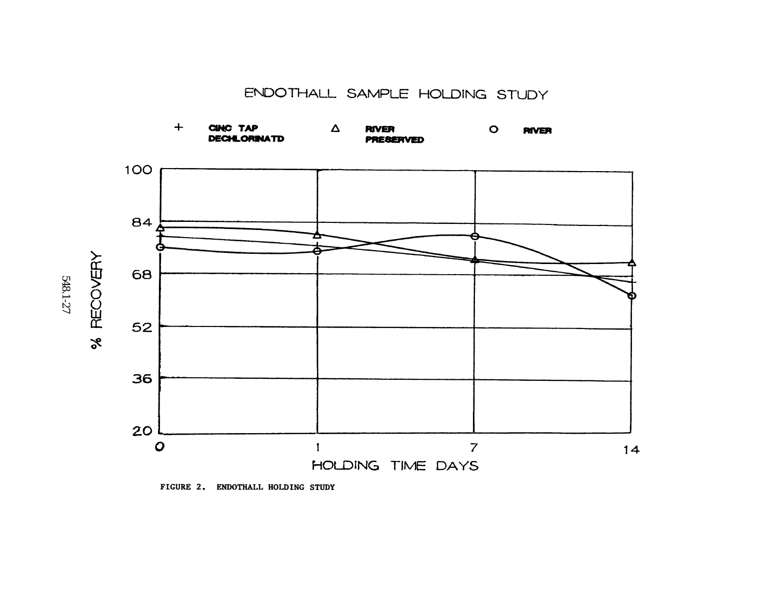ENDOTHALL SAMPLE HOLDING STUDY





548.1-27